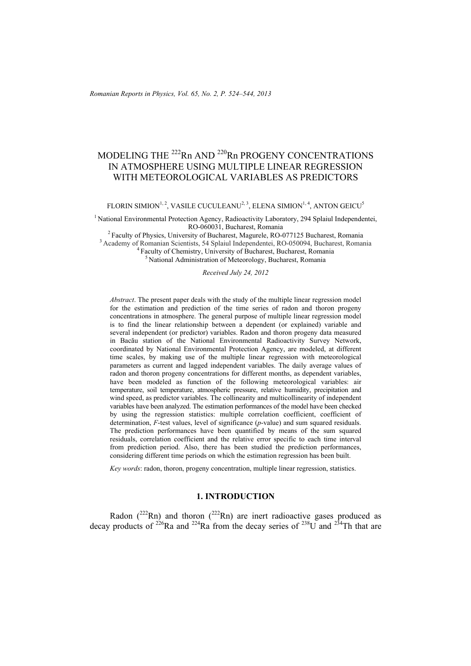# MODELING THE <sup>222</sup>Rn AND <sup>220</sup>Rn PROGENY CONCENTRATIONS IN ATMOSPHERE USING MULTIPLE LINEAR REGRESSION WITH METEOROLOGICAL VARIABLES AS PREDICTORS

FLORIN SIMION<sup>1, 2</sup>, VASILE CUCULEANU<sup>2, 3</sup>, ELENA SIMION<sup>1, 4</sup>, ANTON GEICU<sup>5</sup>

<sup>1</sup> National Environmental Protection Agency, Radioactivity Laboratory, 294 Splaiul Independentei,

RO-060031, Bucharest, Romania<br><sup>2</sup> Faculty of Physics, University of Bucharest, Magurele, RO-077125 Bucharest, Romania<br><sup>3</sup> Academy of Romanian Scientists, 54 Splaiul Independentei, RO-050094, Bucharest, Romania<br><sup>4</sup> Faculty

*Received July 24, 2012* 

*Abstract*. The present paper deals with the study of the multiple linear regression model for the estimation and prediction of the time series of radon and thoron progeny concentrations in atmosphere. The general purpose of multiple linear regression model is to find the linear relationship between a dependent (or explained) variable and several independent (or predictor) variables. Radon and thoron progeny data measured in Bacău station of the National Environmental Radioactivity Survey Network, coordinated by National Environmental Protection Agency, are modeled, at different time scales, by making use of the multiple linear regression with meteorological parameters as current and lagged independent variables. The daily average values of radon and thoron progeny concentrations for different months, as dependent variables, have been modeled as function of the following meteorological variables: air temperature, soil temperature, atmospheric pressure, relative humidity, precipitation and wind speed, as predictor variables. The collinearity and multicollinearity of independent variables have been analyzed. The estimation performances of the model have been checked by using the regression statistics: multiple correlation coefficient, coefficient of determination, *F*-test values, level of significance (*p*-value) and sum squared residuals. The prediction performances have been quantified by means of the sum squared residuals, correlation coefficient and the relative error specific to each time interval from prediction period. Also, there has been studied the prediction performances, considering different time periods on which the estimation regression has been built.

*Key words*: radon, thoron, progeny concentration, multiple linear regression, statistics.

#### **1. INTRODUCTION**

Radon ( $^{222}$ Rn) and thoron ( $^{222}$ Rn) are inert radioactive gases produced as decay products of <sup>226</sup>Ra and <sup>224</sup>Ra from the decay series of <sup>238</sup>U and <sup>234</sup>Th that are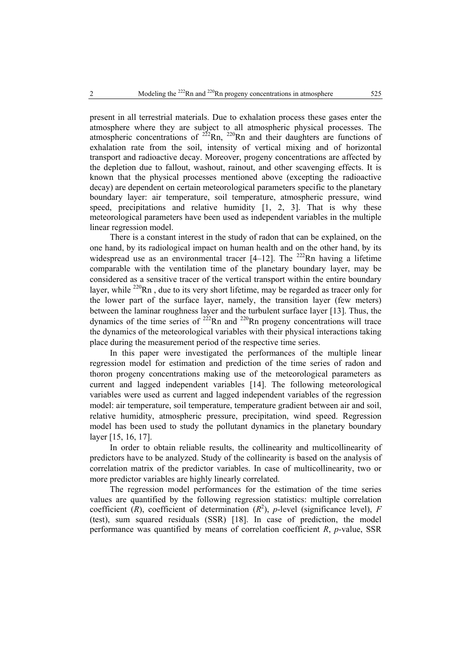present in all terrestrial materials. Due to exhalation process these gases enter the atmosphere where they are subject to all atmospheric physical processes. The atmospheric concentrations of  $2^{22}$ Rn,  $2^{20}$ Rn and their daughters are functions of exhalation rate from the soil, intensity of vertical mixing and of horizontal transport and radioactive decay. Moreover, progeny concentrations are affected by the depletion due to fallout, washout, rainout, and other scavenging effects. It is known that the physical processes mentioned above (excepting the radioactive decay) are dependent on certain meteorological parameters specific to the planetary boundary layer: air temperature, soil temperature, atmospheric pressure, wind speed, precipitations and relative humidity [1, 2, 3]. That is why these meteorological parameters have been used as independent variables in the multiple linear regression model.

There is a constant interest in the study of radon that can be explained, on the one hand, by its radiological impact on human health and on the other hand, by its widespread use as an environmental tracer  $[4-12]$ . The <sup>222</sup>Rn having a lifetime comparable with the ventilation time of the planetary boundary layer, may be considered as a sensitive tracer of the vertical transport within the entire boundary layer, while  $^{220}$ Rn, due to its very short lifetime, may be regarded as tracer only for the lower part of the surface layer, namely, the transition layer (few meters) between the laminar roughness layer and the turbulent surface layer [13]. Thus, the dynamics of the time series of  $^{222}$ Rn and  $^{220}$ Rn progeny concentrations will trace the dynamics of the meteorological variables with their physical interactions taking place during the measurement period of the respective time series.

In this paper were investigated the performances of the multiple linear regression model for estimation and prediction of the time series of radon and thoron progeny concentrations making use of the meteorological parameters as current and lagged independent variables [14]. The following meteorological variables were used as current and lagged independent variables of the regression model: air temperature, soil temperature, temperature gradient between air and soil, relative humidity, atmospheric pressure, precipitation, wind speed. Regression model has been used to study the pollutant dynamics in the planetary boundary layer [15, 16, 17].

In order to obtain reliable results, the collinearity and multicollinearity of predictors have to be analyzed. Study of the collinearity is based on the analysis of correlation matrix of the predictor variables. In case of multicollinearity, two or more predictor variables are highly linearly correlated.

The regression model performances for the estimation of the time series values are quantified by the following regression statistics: multiple correlation coefficient  $(R)$ , coefficient of determination  $(R^2)$ , *p*-level (significance level), *F* (test), sum squared residuals (SSR) [18]. In case of prediction, the model performance was quantified by means of correlation coefficient *R*, *p*-value, SSR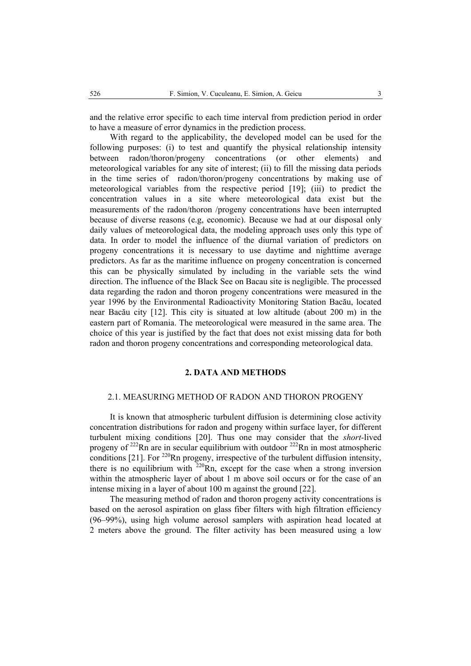and the relative error specific to each time interval from prediction period in order to have a measure of error dynamics in the prediction process.

With regard to the applicability, the developed model can be used for the following purposes: (i) to test and quantify the physical relationship intensity between radon/thoron/progeny concentrations (or other elements) and meteorological variables for any site of interest; (ii) to fill the missing data periods in the time series of radon/thoron/progeny concentrations by making use of meteorological variables from the respective period [19]; (iii) to predict the concentration values in a site where meteorological data exist but the measurements of the radon/thoron /progeny concentrations have been interrupted because of diverse reasons (e.g, economic). Because we had at our disposal only daily values of meteorological data, the modeling approach uses only this type of data. In order to model the influence of the diurnal variation of predictors on progeny concentrations it is necessary to use daytime and nighttime average predictors. As far as the maritime influence on progeny concentration is concerned this can be physically simulated by including in the variable sets the wind direction. The influence of the Black See on Bacau site is negligible. The processed data regarding the radon and thoron progeny concentrations were measured in the year 1996 by the Environmental Radioactivity Monitoring Station Bacău, located near Bacău city [12]. This city is situated at low altitude (about 200 m) in the eastern part of Romania. The meteorological were measured in the same area. The choice of this year is justified by the fact that does not exist missing data for both radon and thoron progeny concentrations and corresponding meteorological data.

#### **2. DATA AND METHODS**

#### 2.1. MEASURING METHOD OF RADON AND THORON PROGENY

It is known that atmospheric turbulent diffusion is determining close activity concentration distributions for radon and progeny within surface layer, for different turbulent mixing conditions [20]. Thus one may consider that the *short-*lived progeny of  $^{222}$ Rn are in secular equilibrium with outdoor  $^{222}$ Rn in most atmospheric conditions [21]. For  $220$ Rn progeny, irrespective of the turbulent diffusion intensity, there is no equilibrium with  $220$ Rn, except for the case when a strong inversion within the atmospheric layer of about 1 m above soil occurs or for the case of an intense mixing in a layer of about 100 m against the ground [22].

The measuring method of radon and thoron progeny activity concentrations is based on the aerosol aspiration on glass fiber filters with high filtration efficiency (96–99%), using high volume aerosol samplers with aspiration head located at 2 meters above the ground. The filter activity has been measured using a low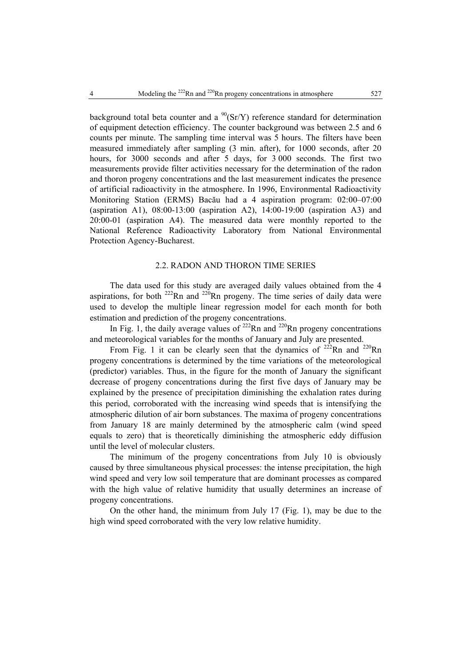background total beta counter and a  $^{90}(Sr/Y)$  reference standard for determination of equipment detection efficiency. The counter background was between 2.5 and 6 counts per minute. The sampling time interval was 5 hours. The filters have been measured immediately after sampling (3 min. after), for 1000 seconds, after 20 hours, for 3000 seconds and after 5 days, for 3 000 seconds. The first two measurements provide filter activities necessary for the determination of the radon and thoron progeny concentrations and the last measurement indicates the presence of artificial radioactivity in the atmosphere. In 1996, Environmental Radioactivity Monitoring Station (ERMS) Bacău had a 4 aspiration program: 02:00–07:00 (aspiration A1), 08:00-13:00 (aspiration A2), 14:00-19:00 (aspiration A3) and 20:00-01 (aspiration A4). The measured data were monthly reported to the National Reference Radioactivity Laboratory from National Environmental Protection Agency-Bucharest.

#### 2.2. RADON AND THORON TIME SERIES

The data used for this study are averaged daily values obtained from the 4 aspirations, for both  $^{222}$ Rn and  $^{220}$ Rn progeny. The time series of daily data were used to develop the multiple linear regression model for each month for both estimation and prediction of the progeny concentrations.

In Fig. 1, the daily average values of  $^{222}$ Rn and  $^{220}$ Rn progeny concentrations and meteorological variables for the months of January and July are presented.

From Fig. 1 it can be clearly seen that the dynamics of  $222$ Rn and  $220$ Rn progeny concentrations is determined by the time variations of the meteorological (predictor) variables. Thus, in the figure for the month of January the significant decrease of progeny concentrations during the first five days of January may be explained by the presence of precipitation diminishing the exhalation rates during this period, corroborated with the increasing wind speeds that is intensifying the atmospheric dilution of air born substances. The maxima of progeny concentrations from January 18 are mainly determined by the atmospheric calm (wind speed equals to zero) that is theoretically diminishing the atmospheric eddy diffusion until the level of molecular clusters.

The minimum of the progeny concentrations from July 10 is obviously caused by three simultaneous physical processes: the intense precipitation, the high wind speed and very low soil temperature that are dominant processes as compared with the high value of relative humidity that usually determines an increase of progeny concentrations.

On the other hand, the minimum from July 17 (Fig. 1), may be due to the high wind speed corroborated with the very low relative humidity.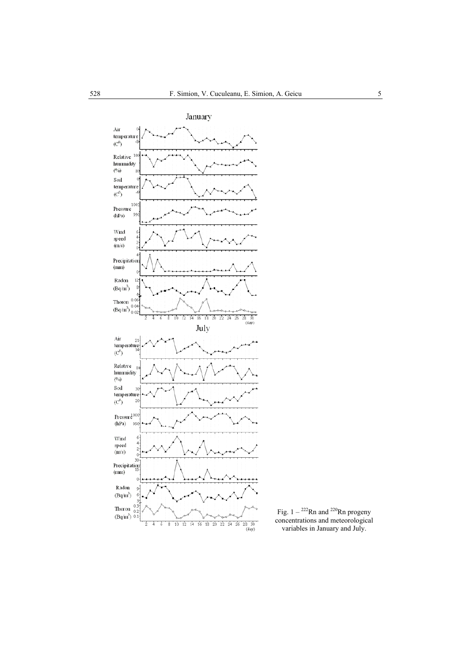

Fig.  $1 - {}^{222}Rn$  and  ${}^{220}Rn$  progeny concentrations and meteorological variables in January and July.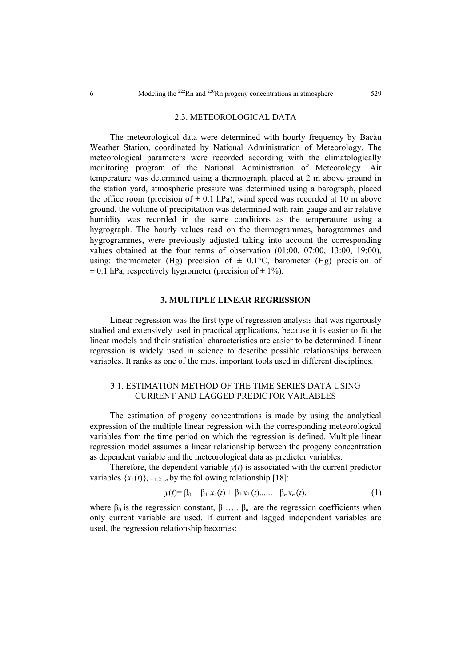#### 2.3. METEOROLOGICAL DATA

The meteorological data were determined with hourly frequency by Bacău Weather Station, coordinated by National Administration of Meteorology. The meteorological parameters were recorded according with the climatologically monitoring program of the National Administration of Meteorology. Air temperature was determined using a thermograph, placed at 2 m above ground in the station yard, atmospheric pressure was determined using a barograph, placed the office room (precision of  $\pm$  0.1 hPa), wind speed was recorded at 10 m above ground, the volume of precipitation was determined with rain gauge and air relative humidity was recorded in the same conditions as the temperature using a hygrograph. The hourly values read on the thermogrammes, barogrammes and hygrogrammes, were previously adjusted taking into account the corresponding values obtained at the four terms of observation (01:00, 07:00, 13:00, 19:00), using: thermometer (Hg) precision of  $\pm$  0.1°C, barometer (Hg) precision of  $\pm$  0.1 hPa, respectively hygrometer (precision of  $\pm$  1%).

#### **3. MULTIPLE LINEAR REGRESSION**

Linear regression was the first type of regression analysis that was rigorously studied and extensively used in practical applications, because it is easier to fit the linear models and their statistical characteristics are easier to be determined. Linear regression is widely used in science to describe possible relationships between variables. It ranks as one of the most important tools used in different disciplines.

## 3.1. ESTIMATION METHOD OF THE TIME SERIES DATA USING CURRENT AND LAGGED PREDICTOR VARIABLES

The estimation of progeny concentrations is made by using the analytical expression of the multiple linear regression with the corresponding meteorological variables from the time period on which the regression is defined. Multiple linear regression model assumes a linear relationship between the progeny concentration as dependent variable and the meteorological data as predictor variables.

Therefore, the dependent variable  $y(t)$  is associated with the current predictor variables  $\{x_i(t)\}_{i=1,2...n}$  by the following relationship [18]:

$$
y(t)=\beta_0+\beta_1 x_1(t)+\beta_2 x_2(t)......+\beta_n x_n(t),
$$
\n(1)

where  $\beta_0$  is the regression constant,  $\beta_1$ ....  $\beta_n$  are the regression coefficients when only current variable are used. If current and lagged independent variables are used, the regression relationship becomes: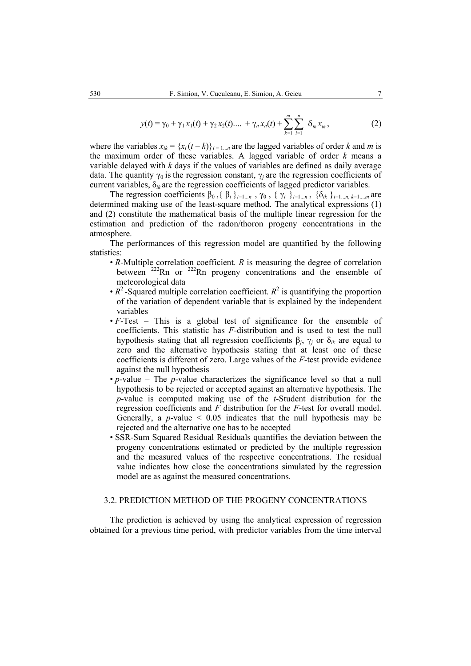$$
y(t) = \gamma_0 + \gamma_1 x_1(t) + \gamma_2 x_2(t) \dots + \gamma_n x_n(t) + \sum_{k=1}^{m} \sum_{i=1}^{n} \delta_{ik} x_{ik}, \qquad (2)
$$

where the variables  $x_{ik} = \{x_i(t-k)\}_{i=1...n}$  are the lagged variables of order *k* and *m* is the maximum order of these variables. A lagged variable of order *k* means a variable delayed with *k* days if the values of variables are defined as daily average data. The quantity  $\gamma_0$  is the regression constant,  $\gamma_i$  are the regression coefficients of current variables, δ*ik* are the regression coefficients of lagged predictor variables.

The regression coefficients  $\beta_0$ , { $\beta_i$ }<sub>*i*=1..*n*</sub>,  $\gamma_0$ , { $\gamma_i$ }<sub>*i*=1..*n*</sub>, {δ*ik*}<sub>*i*=1..*n*, *k*=1...*m*</sub> are determined making use of the least-square method. The analytical expressions (1) and (2) constitute the mathematical basis of the multiple linear regression for the estimation and prediction of the radon/thoron progeny concentrations in the atmosphere.

The performances of this regression model are quantified by the following statistics:

- *R*-Multiple correlation coefficient. *R* is measuring the degree of correlation between  $^{222}$ Rn or  $^{222}$ Rn progeny concentrations and the ensemble of meteorological data
- $R^2$ -Squared multiple correlation coefficient.  $R^2$  is quantifying the proportion of the variation of dependent variable that is explained by the independent variables
- *F*-Test This is a global test of significance for the ensemble of coefficients. This statistic has *F*-distribution and is used to test the null hypothesis stating that all regression coefficients β*j*, γ*j* or δ*ik* are equal to zero and the alternative hypothesis stating that at least one of these coefficients is different of zero. Large values of the *F*-test provide evidence against the null hypothesis
- *p*-value The *p*-value characterizes the significance level so that a null hypothesis to be rejected or accepted against an alternative hypothesis. The *p*-value is computed making use of the *t*-Student distribution for the regression coefficients and *F* distribution for the *F*-test for overall model. Generally, a *p*-value  $\leq 0.05$  indicates that the null hypothesis may be rejected and the alternative one has to be accepted
- SSR-Sum Squared Residual Residuals quantifies the deviation between the progeny concentrations estimated or predicted by the multiple regression and the measured values of the respective concentrations. The residual value indicates how close the concentrations simulated by the regression model are as against the measured concentrations.

## 3.2. PREDICTION METHOD OF THE PROGENY CONCENTRATIONS

The prediction is achieved by using the analytical expression of regression obtained for a previous time period, with predictor variables from the time interval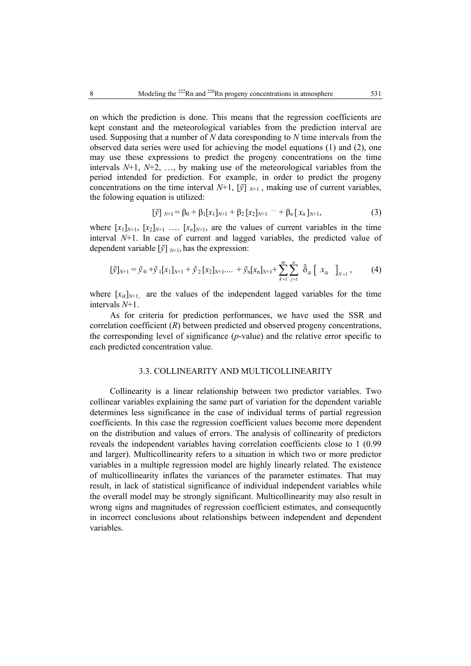on which the prediction is done. This means that the regression coefficients are kept constant and the meteorological variables from the prediction interval are used. Supposing that a number of *N* data coresponding to *N* time intervals from the observed data series were used for achieving the model equations (1) and (2), one may use these expressions to predict the progeny concentrations on the time intervals *N*+1, *N*+2, …, by making use of the meteorological variables from the period intended for prediction. For example, in order to predict the progeny concentrations on the time interval  $N+1$ ,  $[\tilde{y}]_{N+1}$ , making use of current variables, the folowing equation is utilized:

$$
\left[\tilde{y}\right]_{N+1} = \beta_0 + \beta_1[x_1]_{N+1} + \beta_2[x_2]_{N+1} \cdots + \beta_n[x_n]_{N+1},\tag{3}
$$

where  $[x_1]_{N+1}$ ,  $[x_2]_{N+1}$  ....  $[x_n]_{N+1}$ , are the values of current variables in the time interval *N*+1. In case of current and lagged variables, the predicted value of dependent variable  $[\tilde{y}]_{N+1}$ , has the expression:

$$
[\tilde{y}]_{N+1} = \tilde{y}_0 + \tilde{y}_1[x_1]_{N+1} + \tilde{y}_2[x_2]_{N+1} + \dots + \tilde{y}_n[x_n]_{N+1} + \sum_{k=1}^m \sum_{j=1}^n \tilde{\delta}_{ik} [x_k]_{N+1}, \qquad (4)
$$

where  $[x_{ik}]_{N+1}$  are the values of the independent lagged variables for the time intervals *N*+1.

As for criteria for prediction performances, we have used the SSR and correlation coefficient (*R*) between predicted and observed progeny concentrations, the corresponding level of significance (*p*-value) and the relative error specific to each predicted concentration value.

### 3.3. COLLINEARITY AND MULTICOLLINEARITY

Collinearity is a linear relationship between two predictor variables. Two collinear variables explaining the same part of variation for the dependent variable determines less significance in the case of individual terms of partial regression coefficients. In this case the regression coefficient values become more dependent on the distribution and values of errors. The analysis of collinearity of predictors reveals the independent variables having correlation coefficients close to 1 (0.99 and larger). Multicollinearity refers to a situation in which two or more predictor variables in a multiple regression model are highly linearly related. The existence of multicollinearity inflates the variances of the parameter estimates. That may result, in lack of statistical significance of individual independent variables while the overall model may be strongly significant. Multicollinearity may also result in wrong signs and magnitudes of regression coefficient estimates, and consequently in incorrect conclusions about relationships between independent and dependent variables.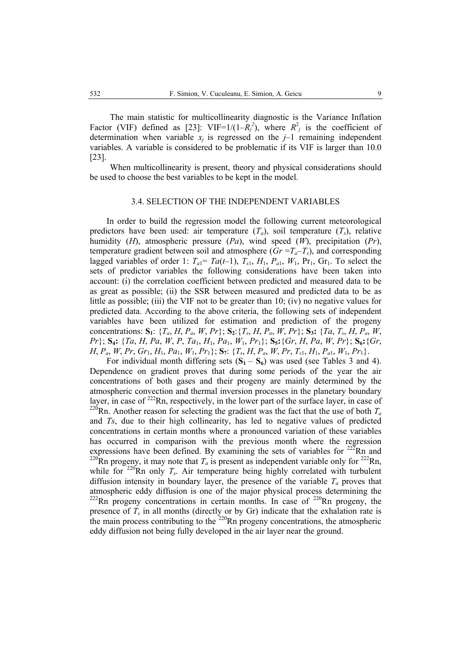The main statistic for multicollinearity diagnostic is the Variance Inflation Factor (VIF) defined as [23]: VIF=1/(1– $R_j^2$ ), where  $R_j^2$  is the coefficient of determination when variable  $x_i$  is regressed on the  $j-1$  remaining independent variables. A variable is considered to be problematic if its VIF is larger than 10.0 [23].

When multicollinearity is present, theory and physical considerations should be used to choose the best variables to be kept in the model.

#### 3.4. SELECTION OF THE INDEPENDENT VARIABLES

In order to build the regression model the following current meteorological predictors have been used: air temperature  $(T_a)$ , soil temperature  $(T_s)$ , relative humidity (*H*), atmospheric pressure (*Pa*), wind speed (*W*), precipitation (*Pr*), temperature gradient between soil and atmosphere  $(Gr = T_a - T_s)$ , and corresponding lagged variables of order 1:  $T_{a1} = Ta(t-1)$ ,  $T_{s1}$ ,  $H_1$ ,  $P_{a1}$ ,  $W_1$ ,  $Pr_1$ ,  $Gr_1$ . To select the sets of predictor variables the following considerations have been taken into account: (i) the correlation coefficient between predicted and measured data to be as great as possible; (ii) the SSR between measured and predicted data to be as little as possible; (iii) the VIF not to be greater than  $10$ ; (iv) no negative values for predicted data. According to the above criteria, the following sets of independent variables have been utilized for estimation and prediction of the progeny concentrations:  $S_1$ : { $T_a$ ,  $H$ ,  $P_a$ ,  $W$ ,  $Pr$ };  $S_2$ : { $T_s$ ,  $H$ ,  $P_a$ ,  $W$ ,  $Pr$ };  $S_3$ : { $Ta$ ,  $T_s$ ,  $H$ ,  $P_a$ ,  $W$ , *Pr*}; **S4:** {*Ta*, *H*, *Pa*, *W*, *P*, *Ta*1, *H*1, *Pa*1, *W*1, *Pr*1}; **S5:**{*Gr*, *H*, *Pa*, *W*, *Pr*}; **S6:**{*Gr*,  $H, P_a, W, Pr, Gr_1, H_1, Pa_1, W_1, Pr_1$ ; **S**<sub>7</sub>: { $T_s, H, P_a, W, Pr, T_{s1}, H_1, P_{a1}, W_1, Pr_1$ }.

For individual month differing sets  $(S_1 - S_6)$  was used (see Tables 3 and 4). Dependence on gradient proves that during some periods of the year the air concentrations of both gases and their progeny are mainly determined by the atmospheric convection and thermal inversion processes in the planetary boundary layer, in case of <sup>222</sup>Rn, respectively, in the lower part of the surface layer, in case of <sup>220</sup>Rn. Another reason for selecting the gradient was the fact that the use of both  $T_a$ and *Ts*, due to their high collinearity, has led to negative values of predicted concentrations in certain months where a pronounced variation of these variables has occurred in comparison with the previous month where the regression expressions have been defined. By examining the sets of variables for  $222$ Rn and <sup>220</sup>Rn progeny, it may note that  $T_a$  is present as independent variable only for <sup>222</sup>Rn, while for  $^{220}$ Rn only  $T_s$ . Air temperature being highly correlated with turbulent diffusion intensity in boundary layer, the presence of the variable  $T_a$  proves that atmospheric eddy diffusion is one of the major physical process determining the  $222$ Rn progeny concentrations in certain months. In case of  $220$ Rn progeny, the presence of  $\overline{T_s}$  in all months (directly or by Gr) indicate that the exhalation rate is the main process contributing to the  $220$ Rn progeny concentrations, the atmospheric eddy diffusion not being fully developed in the air layer near the ground.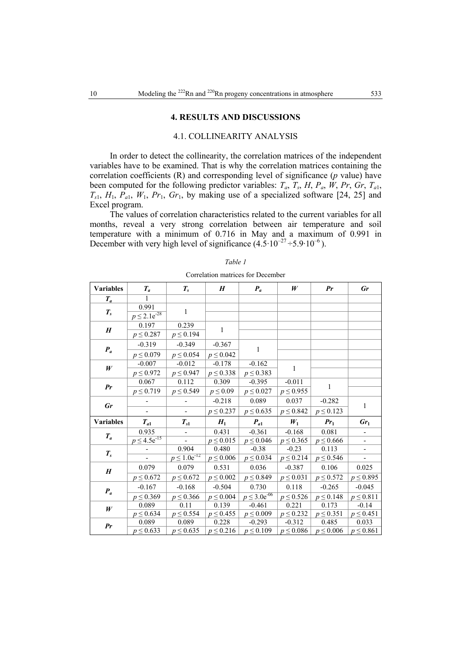#### **4. RESULTS AND DISCUSSIONS**

## 4.1. COLLINEARITY ANALYSIS

In order to detect the collinearity, the correlation matrices of the independent variables have to be examined. That is why the correlation matrices containing the correlation coefficients (R) and corresponding level of significance (*p* value) have been computed for the following predictor variables:  $T_a$ ,  $T_s$ ,  $H$ ,  $P_a$ ,  $W$ ,  $Pr$ ,  $Gr$ ,  $T_{a1}$ ,  $T_{s1}$ ,  $H_1$ ,  $P_{a1}$ ,  $W_1$ ,  $Pr_1$ ,  $Gr_1$ , by making use of a specialized software [24, 25] and Excel program.

The values of correlation characteristics related to the current variables for all months, reveal a very strong correlation between air temperature and soil temperature with a minimum of 0.716 in May and a maximum of 0.991 in December with very high level of significance  $(4.5 \cdot 10^{-27} \div 5.9 \cdot 10^{-6})$ .

| <b>Variables</b> | $T_a$                        | $T_{s}$                | H                      | $P_a$                     | W                         | Pr                     | Gr                       |
|------------------|------------------------------|------------------------|------------------------|---------------------------|---------------------------|------------------------|--------------------------|
| $T_a$            | 1                            |                        |                        |                           |                           |                        |                          |
| $T_{s}$          | 0.991<br>$p \leq 2.1e^{-28}$ | $\mathbf{1}$           |                        |                           |                           |                        |                          |
| H                | 0.197<br>$p \le 0.287$       | 0.239<br>$p \le 0.194$ | $\mathbf{1}$           |                           |                           |                        |                          |
|                  | $-0.319$                     | $-0.349$               | $-0.367$               | 1                         |                           |                        |                          |
| $P_a$            | $p \le 0.079$                | $p \le 0.054$          | $p \le 0.042$          |                           |                           |                        |                          |
| W                | $-0.007$                     | $-0.012$               | $-0.178$               | $-0.162$                  | 1                         |                        |                          |
|                  | $p \le 0.972$                | $p \le 0.947$          | $p \le 0.338$          | $p \le 0.383$             |                           |                        |                          |
| Pr               | 0.067                        | 0.112                  | 0.309                  | $-0.395$                  | $-0.011$                  | 1                      |                          |
|                  | $p \le 0.719$                | $p \le 0.549$          | $p \leq 0.09$          | $p \le 0.027$             | $p \le 0.955$             |                        |                          |
| Gr               |                              |                        | $-0.218$               | 0.089                     | 0.037                     | $-0.282$               | $\mathbf{1}$             |
|                  |                              | $\overline{a}$         | $p \le 0.237$          | $p \le 0.635$             | $p \le 0.842$             | $p \le 0.123$          |                          |
| <b>Variables</b> |                              |                        |                        |                           |                           |                        |                          |
|                  | $T_{a1}$                     | $T_{s1}$               | $H_1$                  | $P_{a1}$                  | $W_1$                     | $Pr_1$                 | Gr <sub>1</sub>          |
|                  | 0.935                        |                        | 0.431                  | $-0.361$                  | $-0.168$                  | 0.081                  |                          |
| $T_a$            | $p \le 4.5e^{-15}$           |                        | $p \le 0.015$          | $p \le 0.046$             | $p \le 0.365$             | $p \le 0.666$          | $\overline{\phantom{0}}$ |
|                  |                              | 0.904                  | 0.480                  | $-0.38$                   | $-0.23$                   | 0.113                  |                          |
| $T_{s}$          |                              | $p \leq 1.0e^{-12}$    | $p \le 0.006$          | $p \le 0.034$             | $p \le 0.214$             | $p \le 0.546$          | $\overline{\phantom{a}}$ |
|                  | 0.079                        | 0.079                  | 0.531                  | 0.036                     | $-0.387$                  | 0.106                  | 0.025                    |
| H                | $p \le 0.672$                | $p \le 0.672$          | $p \le 0.002$          | $p \le 0.849$             | $p \le 0.031$             | $p \le 0.572$          | $p \le 0.895$            |
|                  | $-0.167$                     | $-0.168$               | $-0.504$               | 0.730                     | 0.118                     | $-0.265$               | $-0.045$                 |
| $P_a$            | $p \le 0.369$                | $p \le 0.366$          | $p \le 0.004$          | $p \le 3.0e^{-06}$        | $p \le 0.526$             | $p \le 0.148$          | $p \leq 0.811$           |
|                  | 0.089                        | 0.11                   | 0.139                  | $-0.461$                  | 0.221                     | 0.173                  | $-0.14$                  |
| W                | $p \le 0.634$                | $p \le 0.554$          | $p \le 0.455$          | $p \le 0.009$             | $p \le 0.232$             | $p \le 0.351$          | $p \le 0.451$            |
| Pr               | 0.089<br>$p \le 0.633$       | 0.089<br>$p \le 0.635$ | 0.228<br>$p \le 0.216$ | $-0.293$<br>$p \le 0.109$ | $-0.312$<br>$p \le 0.086$ | 0.485<br>$p \le 0.006$ | 0.033<br>$p \le 0.861$   |

## *Table 1*  Correlation matrices for December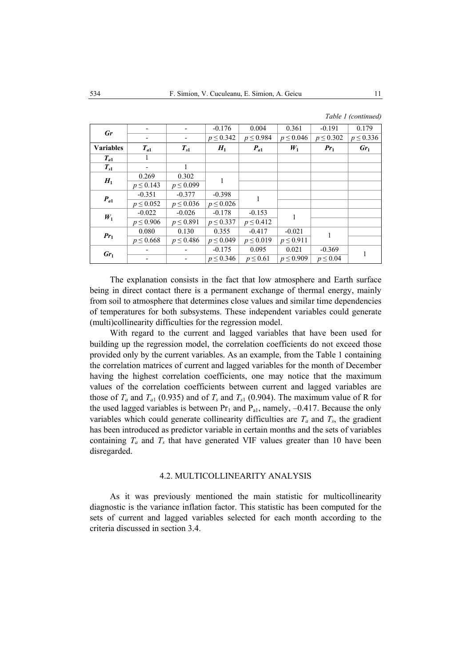| Gr               |                          |                          | $-0.176$      | 0.004         | 0.361         | $-0.191$      | 0.179         |
|------------------|--------------------------|--------------------------|---------------|---------------|---------------|---------------|---------------|
|                  | $\overline{\phantom{a}}$ | $\overline{\phantom{a}}$ | $p \le 0.342$ | $p \le 0.984$ | $p \le 0.046$ | $p \le 0.302$ | $p \le 0.336$ |
| <b>Variables</b> | $T_{a1}$                 | $T_{s1}$                 | $H_1$         | $P_{a1}$      | $W_1$         | $Pr_1$        | $Gr_1$        |
| $T_{a1}$         | 1                        |                          |               |               |               |               |               |
| $T_{s1}$         |                          |                          |               |               |               |               |               |
| $H_1$            | 0.269                    | 0.302                    |               |               |               |               |               |
|                  | $p \le 0.143$            | $p \le 0.099$            |               |               |               |               |               |
| $P_{a1}$         | $-0.351$                 | $-0.377$                 | $-0.398$      | 1             |               |               |               |
|                  | $p \le 0.052$            | $p \le 0.036$            | $p \le 0.026$ |               |               |               |               |
| $W_1$            | $-0.022$                 | $-0.026$                 | $-0.178$      | $-0.153$      | 1             |               |               |
|                  | $p \le 0.906$            | $p \le 0.891$            | $p \le 0.337$ | $p \le 0.412$ |               |               |               |
| $Pr_1$           | 0.080                    | 0.130                    | 0.355         | $-0.417$      | $-0.021$      |               |               |
|                  | $p \le 0.668$            | $p \le 0.486$            | $p \le 0.049$ | $p \le 0.019$ | $p \le 0.911$ |               |               |
| $Gr_1$           |                          |                          | $-0.175$      | 0.095         | 0.021         | $-0.369$      |               |
|                  |                          |                          | $p \le 0.346$ | $p \leq 0.61$ | $p \le 0.909$ | $p \leq 0.04$ |               |

The explanation consists in the fact that low atmosphere and Earth surface being in direct contact there is a permanent exchange of thermal energy, mainly from soil to atmosphere that determines close values and similar time dependencies of temperatures for both subsystems. These independent variables could generate (multi)collinearity difficulties for the regression model.

With regard to the current and lagged variables that have been used for building up the regression model, the correlation coefficients do not exceed those provided only by the current variables. As an example, from the Table 1 containing the correlation matrices of current and lagged variables for the month of December having the highest correlation coefficients, one may notice that the maximum values of the correlation coefficients between current and lagged variables are those of  $T_a$  and  $T_{a1}$  (0.935) and of  $T_s$  and  $T_{s1}$  (0.904). The maximum value of R for the used lagged variables is between  $Pr_1$  and  $P_{a1}$ , namely, -0.417. Because the only variables which could generate collinearity difficulties are  $T_a$  and  $T_s$ , the gradient has been introduced as predictor variable in certain months and the sets of variables containing  $T_a$  and  $T_s$  that have generated VIF values greater than 10 have been disregarded.

#### 4.2. MULTICOLLINEARITY ANALYSIS

As it was previously mentioned the main statistic for multicollinearity diagnostic is the variance inflation factor. This statistic has been computed for the sets of current and lagged variables selected for each month according to the criteria discussed in section 3.4.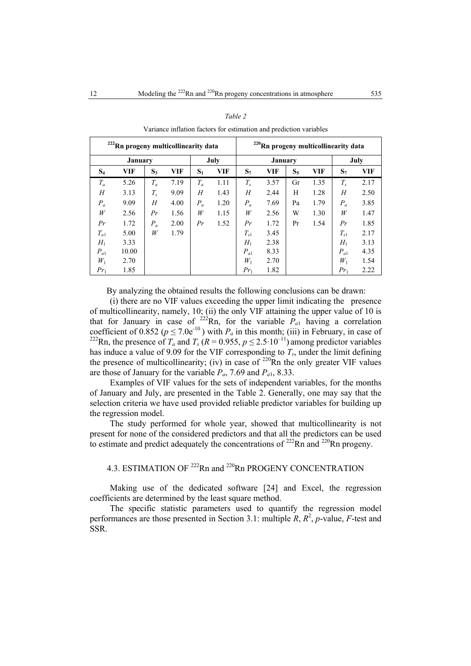| <sup>222</sup> Rn progeny multicollinearity data |                |         |            |       |            | <sup>220</sup> Rn progeny multicollinearity data |                |       |            |          |            |
|--------------------------------------------------|----------------|---------|------------|-------|------------|--------------------------------------------------|----------------|-------|------------|----------|------------|
|                                                  | <b>January</b> |         |            |       | July       |                                                  | <b>January</b> |       |            | July     |            |
| $S_4$                                            | <b>VIF</b>     | $S_3$   | <b>VIF</b> | $S_1$ | <b>VIF</b> | $S_7$                                            | <b>VIF</b>     | $S_5$ | <b>VIF</b> | $S_7$    | <b>VIF</b> |
| $T_a$                                            | 5.26           | $T_a$   | 7.19       | $T_a$ | 1.11       | $T_{s}$                                          | 3.57           | Gr    | 1.35       | $T_{s}$  | 2.17       |
| H                                                | 3.13           | $T_{s}$ | 9.09       | H     | 1.43       | H                                                | 2.44           | H     | 1.28       | H        | 2.50       |
| $P_a$                                            | 9.09           | Н       | 4.00       | $P_a$ | 1.20       | $P_a$                                            | 7.69           | Pa    | 1.79       | $P_a$    | 3.85       |
| W                                                | 2.56           | Pr      | 1.56       | W     | 1.15       | W                                                | 2.56           | W     | 1.30       | W        | 1.47       |
| Pr                                               | 1.72           | $P_a$   | 2.00       | Pr    | 1.52       | Pr                                               | 1.72           | Pr    | 1.54       | Pr       | 1.85       |
| $T_{a1}$                                         | 5.00           | W       | 1.79       |       |            | $T_{s1}$                                         | 3.45           |       |            | $T_{s1}$ | 2.17       |
| $H_1$                                            | 3.33           |         |            |       |            | $H_1$                                            | 2.38           |       |            | $H_1$    | 3.13       |
| $P_{a1}$                                         | 10.00          |         |            |       |            | $P_{a1}$                                         | 8.33           |       |            | $P_{a1}$ | 4.35       |
| $W_1$                                            | 2.70           |         |            |       |            | $W_1$                                            | 2.70           |       |            | $W_1$    | 1.54       |
| $Pr_1$                                           | 1.85           |         |            |       |            | $Pr_1$                                           | 1.82           |       |            | $Pr_1$   | 2.22       |

| Table 2 |  |
|---------|--|
|---------|--|

Variance inflation factors for estimation and prediction variables

By analyzing the obtained results the following conclusions can be drawn:

(i) there are no VIF values exceeding the upper limit indicating the presence of multicollinearity, namely, 10; (ii) the only VIF attaining the upper value of 10 is that for January in case of  $^{222}$ Rn, for the variable  $P_{a1}$  having a correlation coefficient of 0.852 ( $p \le 7.0e^{-10}$ ) with  $P_a$  in this month; (iii) in February, in case of <sup>222</sup>Rn, the presence of  $T_a$  and  $T_s$  ( $R = 0.955$ ,  $p \le 2.5 \cdot 10^{-11}$ ) among predictor variables has induce a value of 9.09 for the VIF corresponding to  $T_s$ , under the limit defining the presence of multicollinearity; (iv) in case of  $220\overline{R}$ n the only greater VIF values are those of January for the variable  $P_a$ , 7.69 and  $P_{a1}$ , 8.33.

Examples of VIF values for the sets of independent variables, for the months of January and July, are presented in the Table 2. Generally, one may say that the selection criteria we have used provided reliable predictor variables for building up the regression model.

The study performed for whole year, showed that multicollinearity is not present for none of the considered predictors and that all the predictors can be used to estimate and predict adequately the concentrations of  $222$ Rn and  $220$ Rn progeny.

# 4.3. ESTIMATION OF <sup>222</sup>Rn and <sup>220</sup>Rn PROGENY CONCENTRATION

Making use of the dedicated software [24] and Excel, the regression coefficients are determined by the least square method.

The specific statistic parameters used to quantify the regression model performances are those presented in Section 3.1: multiple  $\overline{R}$ ,  $\overline{R}^2$ ,  $\overline{p}$ -value,  $\overline{F}$ -test and SSR.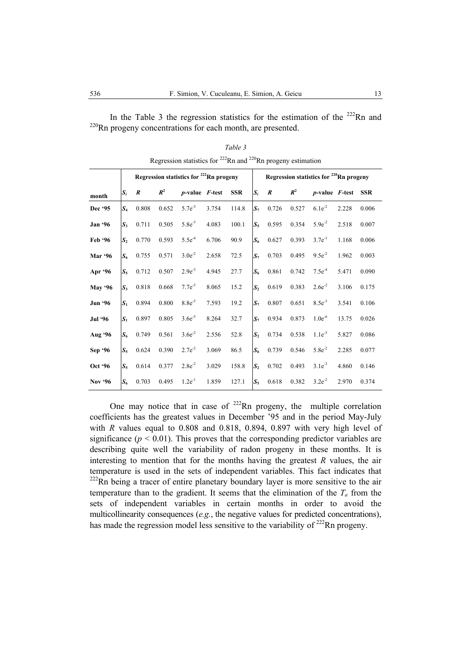In the Table 3 the regression statistics for the estimation of the  $^{222}$ Rn and <sup>220</sup>Rn progeny concentrations for each month, are presented.

|                | Regression statistics for <sup>222</sup> Rn progeny |                  |       |                      |       |            | Regression statistics for <sup>220</sup> Rn progeny |                  |       |                                |       |            |  |
|----------------|-----------------------------------------------------|------------------|-------|----------------------|-------|------------|-----------------------------------------------------|------------------|-------|--------------------------------|-------|------------|--|
| month          | $S_i$                                               | $\boldsymbol{R}$ | $R^2$ | $p$ -value $F$ -test |       | <b>SSR</b> | $S_i$                                               | $\boldsymbol{R}$ | $R^2$ | <i>p</i> -value <i>F</i> -test |       | <b>SSR</b> |  |
| Dec '95        | $S_4$                                               | 0.808            | 0.652 | $5.7e^{-3}$          | 3.754 | 114.8      | $S_7$                                               | 0.726            | 0.527 | $6.1e^{-2}$                    | 2.228 | 0.006      |  |
| <b>Jan</b> '96 | $S_{3}$                                             | 0.711            | 0.505 | $5.8e^{-3}$          | 4.083 | 100.1      | $S_5$                                               | 0.595            | 0.354 | $5.9e^{-2}$                    | 2.518 | 0.007      |  |
| Feb '96        | S <sub>2</sub>                                      | 0.770            | 0.593 | $5.5e^{4}$           | 6.706 | 90.9       | $S_6$                                               | 0.627            | 0.393 | $3.7e^{-1}$                    | 1.168 | 0.006      |  |
| Mar '96        | $S_6$                                               | 0.755            | 0.571 | $3.0e^{-2}$          | 2.658 | 72.5       | $S_7$                                               | 0.703            | 0.495 | $9.5e^{-2}$                    | 1.962 | 0.003      |  |
| Apr '96        | $S_5$                                               | 0.712            | 0.507 | $2.9e^{-3}$          | 4.945 | 27.7       | $S_6$                                               | 0.861            | 0.742 | $7.5e^4$                       | 5.471 | 0.090      |  |
| <b>May '96</b> | $S_{3}$                                             | 0.818            | 0.668 | $7.7e^{-5}$          | 8.065 | 15.2       | S <sub>2</sub>                                      | 0.619            | 0.383 | $2.6e^{-2}$                    | 3.106 | 0.175      |  |
| <b>Jun '96</b> | $S_1$                                               | 0.894            | 0.800 | $8.8e^{-5}$          | 7.593 | 19.2       | $S_7$                                               | 0.807            | 0.651 | $8.5e^{-3}$                    | 3.541 | 0.106      |  |
| <b>Jul</b> '96 | $S_1$                                               | 0.897            | 0.805 | $3.6e^{-5}$          | 8.264 | 32.7       | $S_7$                                               | 0.934            | 0.873 | $1.0e^{-6}$                    | 13.75 | 0.026      |  |
| Aug '96        | $S_6$                                               | 0.749            | 0.561 | $3.6e^{-2}$          | 2.556 | 52.8       | S <sub>2</sub>                                      | 0.734            | 0.538 | $1.1e^{-3}$                    | 5.827 | 0.086      |  |
| Sep '96        | $S_5$                                               | 0.624            | 0.390 | $2.7e^{-2}$          | 3.069 | 86.5       | $S_6$                                               | 0.739            | 0.546 | $5.8e^{-2}$                    | 2.285 | 0.077      |  |
| Oct '96        | $S_5$                                               | 0.614            | 0.377 | $2.8e^{-2}$          | 3.029 | 158.8      | S <sub>2</sub>                                      | 0.702            | 0.493 | $3.1e^{-3}$                    | 4.860 | 0.146      |  |
| Nov '96        | $S_6$                                               | 0.703            | 0.495 | $1.2e^{-1}$          | 1.859 | 127.1      | $S_5$                                               | 0.618            | 0.382 | $3.2e^{-2}$                    | 2.970 | 0.374      |  |

*Table 3*  Regression statistics for  $222$ Rn and  $220$ Rn progeny estimation

One may notice that in case of  $^{222}$ Rn progeny, the multiple correlation coefficients has the greatest values in December '95 and in the period May-July with *R* values equal to 0.808 and 0.818, 0.894, 0.897 with very high level of significance ( $p < 0.01$ ). This proves that the corresponding predictor variables are describing quite well the variability of radon progeny in these months. It is interesting to mention that for the months having the greatest *R* values, the air temperature is used in the sets of independent variables. This fact indicates that  $222$ Rn being a tracer of entire planetary boundary layer is more sensitive to the air temperature than to the gradient. It seems that the elimination of the  $T_a$  from the sets of independent variables in certain months in order to avoid the multicollinearity consequences (*e.g.*, the negative values for predicted concentrations), has made the regression model less sensitive to the variability of  $^{222}$ Rn progeny.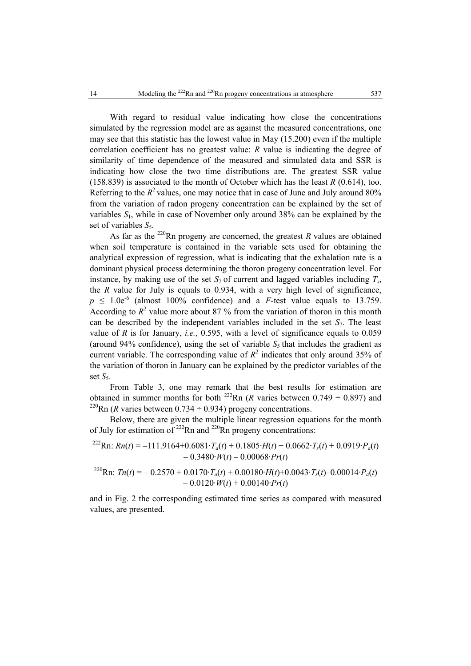With regard to residual value indicating how close the concentrations simulated by the regression model are as against the measured concentrations, one may see that this statistic has the lowest value in May (15.200) even if the multiple correlation coefficient has no greatest value: *R* value is indicating the degree of similarity of time dependence of the measured and simulated data and SSR is indicating how close the two time distributions are. The greatest SSR value (158.839) is associated to the month of October which has the least *R* (0.614), too. Referring to the  $R^2$  values, one may notice that in case of June and July around 80% from the variation of radon progeny concentration can be explained by the set of variables  $S_1$ , while in case of November only around 38% can be explained by the set of variables  $S_5$ .

As far as the  $^{220}$ Rn progeny are concerned, the greatest *R* values are obtained when soil temperature is contained in the variable sets used for obtaining the analytical expression of regression, what is indicating that the exhalation rate is a dominant physical process determining the thoron progeny concentration level. For instance, by making use of the set  $S_7$  of current and lagged variables including  $T_s$ , the *R* value for July is equals to 0.934, with a very high level of significance,  $p \leq 1.0e^{-6}$  (almost 100% confidence) and a *F*-test value equals to 13.759. According to  $R^2$  value more about 87 % from the variation of thoron in this month can be described by the independent variables included in the set  $S_7$ . The least value of *R* is for January, *i.e.*, 0.595, with a level of significance equals to 0.059 (around 94% confidence), using the set of variable  $S_5$  that includes the gradient as current variable. The corresponding value of  $R^2$  indicates that only around 35% of the variation of thoron in January can be explained by the predictor variables of the set *S<sub>5</sub>*.

From Table 3, one may remark that the best results for estimation are obtained in summer months for both <sup>222</sup>Rn (*R* varies between 0.749  $\div$  0.897) and <sup>220</sup>Rn (*R* varies between 0.734  $\div$  0.934) progeny concentrations.

Below, there are given the multiple linear regression equations for the month of July for estimation of  $^{222}$ Rn and  $^{220}$ Rn progeny concentrations:

$$
^{222}\text{Rn: } Rn(t) = -111.9164 + 0.6081 \cdot T_a(t) + 0.1805 \cdot H(t) + 0.0662 \cdot T_s(t) + 0.0919 \cdot P_a(t) - 0.3480 \cdot W(t) - 0.00068 \cdot Pr(t)
$$

$$
{}^{220}\text{Rn: } Th(t) = -0.2570 + 0.0170 \cdot T_a(t) + 0.00180 \cdot H(t) + 0.0043 \cdot T_s(t) - 0.00014 \cdot P_a(t) - 0.0120 \cdot W(t) + 0.00140 \cdot Pr(t)
$$

and in Fig. 2 the corresponding estimated time series as compared with measured values, are presented.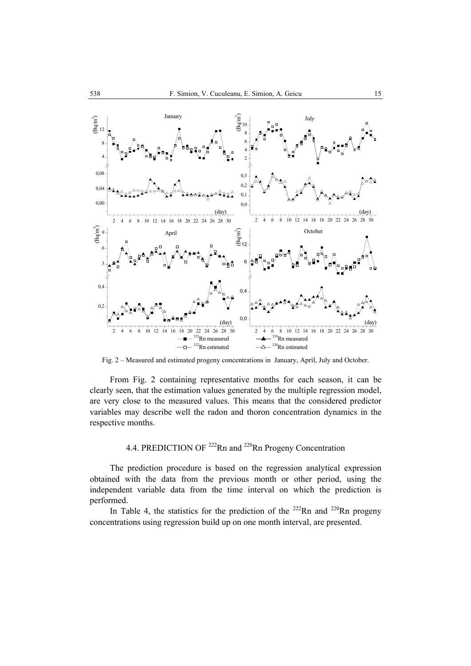

Fig. 2 – Measured and estimated progeny concentrations in January, April, July and October.

From Fig. 2 containing representative months for each season, it can be clearly seen, that the estimation values generated by the multiple regression model, are very close to the measured values. This means that the considered predictor variables may describe well the radon and thoron concentration dynamics in the respective months.

# 4.4. PREDICTION OF <sup>222</sup>Rn and <sup>220</sup>Rn Progeny Concentration

The prediction procedure is based on the regression analytical expression obtained with the data from the previous month or other period, using the independent variable data from the time interval on which the prediction is performed.

In Table 4, the statistics for the prediction of the  $222$ Rn and  $220$ Rn progeny concentrations using regression build up on one month interval, are presented.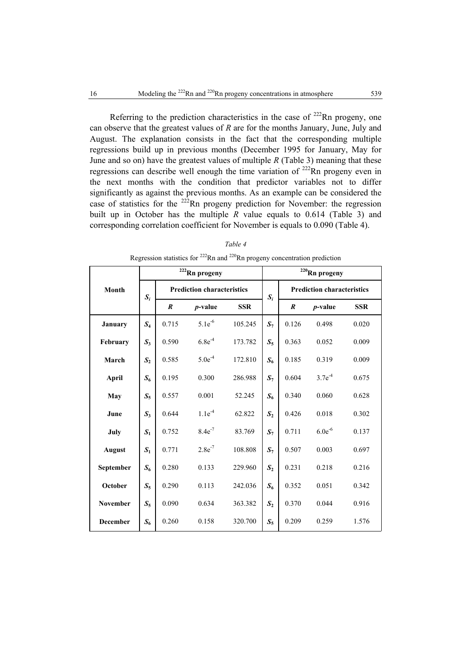Referring to the prediction characteristics in the case of  $^{222}$ Rn progeny, one can observe that the greatest values of *R* are for the months January, June, July and August. The explanation consists in the fact that the corresponding multiple regressions build up in previous months (December 1995 for January, May for June and so on) have the greatest values of multiple *R* (Table 3) meaning that these regressions can describe well enough the time variation of  $222$ Rn progeny even in the next months with the condition that predictor variables not to differ significantly as against the previous months. As an example can be considered the case of statistics for the  $^{222}$ Rn progeny prediction for November: the regression built up in October has the multiple  $\overline{R}$  value equals to 0.614 (Table 3) and corresponding correlation coefficient for November is equals to 0.090 (Table 4).

#### *Table 4*

|  |  |  | Regression statistics for $^{222}$ Rn and $^{220}$ Rn progeny concentration prediction |  |
|--|--|--|----------------------------------------------------------------------------------------|--|
|  |  |  |                                                                                        |  |

|                 |                |                  | <sup>222</sup> Rn progeny         |            | $220$ Rn progeny |                                   |                 |            |  |
|-----------------|----------------|------------------|-----------------------------------|------------|------------------|-----------------------------------|-----------------|------------|--|
| Month           | $S_i$          |                  | <b>Prediction characteristics</b> |            | $S_i$            | <b>Prediction characteristics</b> |                 |            |  |
|                 |                | $\boldsymbol{R}$ | $p$ -value                        | <b>SSR</b> |                  | $\boldsymbol{R}$                  | <i>p</i> -value | <b>SSR</b> |  |
| January         | $S_4$          | 0.715            | $5.1e^{-6}$                       | 105.245    | $S_7$            | 0.126                             | 0.498           | 0.020      |  |
| February        | $S_3$          | 0.590            | $6.8e^{-4}$                       | 173.782    | $S_5$            | 0.363                             | 0.052           | 0.009      |  |
| March           | S <sub>2</sub> | 0.585            | $5.0e^{-4}$                       | 172.810    | $S_6$            | 0.185                             | 0.319           | 0.009      |  |
| April           | $S_6$          | 0.195            | 0.300                             | 286.988    | $S_7$            | 0.604                             | $3.7e^{-4}$     | 0.675      |  |
| May             | $S_5$          | 0.557            | 0.001                             | 52.245     | $S_6$            | 0.340                             | 0.060           | 0.628      |  |
| June            | $S_3$          | 0.644            | $1.1e^{-4}$                       | 62.822     | S <sub>2</sub>   | 0.426                             | 0.018           | 0.302      |  |
| July            | $S_1$          | 0.752            | $8.4e^{-7}$                       | 83.769     | $S_7$            | 0.711                             | $6.0e^{-6}$     | 0.137      |  |
| <b>August</b>   | $S_1$          | 0.771            | $2.8e^{-7}$                       | 108.808    | $S_7$            | 0.507                             | 0.003           | 0.697      |  |
| September       | $S_6$          | 0.280            | 0.133                             | 229.960    | S <sub>2</sub>   | 0.231                             | 0.218           | 0.216      |  |
| October         | $S_5$          | 0.290            | 0.113                             | 242.036    | $S_6$            | 0.352                             | 0.051           | 0.342      |  |
| <b>November</b> | $S_5$          | 0.090            | 0.634                             | 363.382    | S <sub>2</sub>   | 0.370                             | 0.044           | 0.916      |  |
| <b>December</b> | $S_6$          | 0.260            | 0.158                             | 320.700    | $S_5$            | 0.209                             | 0.259           | 1.576      |  |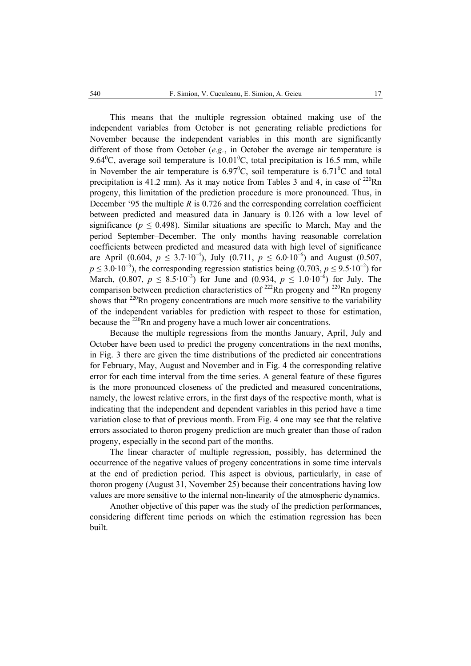This means that the multiple regression obtained making use of the independent variables from October is not generating reliable predictions for November because the independent variables in this month are significantly different of those from October (*e.g.*, in October the average air temperature is 9.64 $^0$ C, average soil temperature is 10.01 $^0$ C, total precipitation is 16.5 mm, while in November the air temperature is  $6.97^{\circ}$ C, soil temperature is  $6.71^{\circ}$ C and total precipitation is 41.2 mm). As it may notice from Tables 3 and 4, in case of  $^{220}$ Rn progeny, this limitation of the prediction procedure is more pronounced. Thus, in December '95 the multiple *R* is 0.726 and the corresponding correlation coefficient between predicted and measured data in January is 0.126 with a low level of significance ( $p \leq 0.498$ ). Similar situations are specific to March, May and the period September–December. The only months having reasonable correlation coefficients between predicted and measured data with high level of significance are April (0.604,  $p \leq 3.7 \cdot 10^{-4}$ ), July (0.711,  $p \leq 6.0 \cdot 10^{-6}$ ) and August (0.507,  $p \leq 3.0 \cdot 10^{-3}$ ), the corresponding regression statistics being (0.703,  $p \leq 9.5 \cdot 10^{-2}$ ) for March,  $(0.807, p \le 8.5 \cdot 10^{-3})$  for June and  $(0.934, p \le 1.0 \cdot 10^{-6})$  for July. The comparison between prediction characteristics of  $^{222}$ Rn progeny and  $^{220}$ Rn progeny shows that  $220$ Rn progeny concentrations are much more sensitive to the variability of the independent variables for prediction with respect to those for estimation, because the  $^{220}$ Rn and progeny have a much lower air concentrations.

Because the multiple regressions from the months January, April, July and October have been used to predict the progeny concentrations in the next months, in Fig. 3 there are given the time distributions of the predicted air concentrations for February, May, August and November and in Fig. 4 the corresponding relative error for each time interval from the time series. A general feature of these figures is the more pronounced closeness of the predicted and measured concentrations, namely, the lowest relative errors, in the first days of the respective month, what is indicating that the independent and dependent variables in this period have a time variation close to that of previous month. From Fig. 4 one may see that the relative errors associated to thoron progeny prediction are much greater than those of radon progeny, especially in the second part of the months.

The linear character of multiple regression, possibly, has determined the occurrence of the negative values of progeny concentrations in some time intervals at the end of prediction period. This aspect is obvious, particularly, in case of thoron progeny (August 31, November 25) because their concentrations having low values are more sensitive to the internal non-linearity of the atmospheric dynamics.

Another objective of this paper was the study of the prediction performances, considering different time periods on which the estimation regression has been built.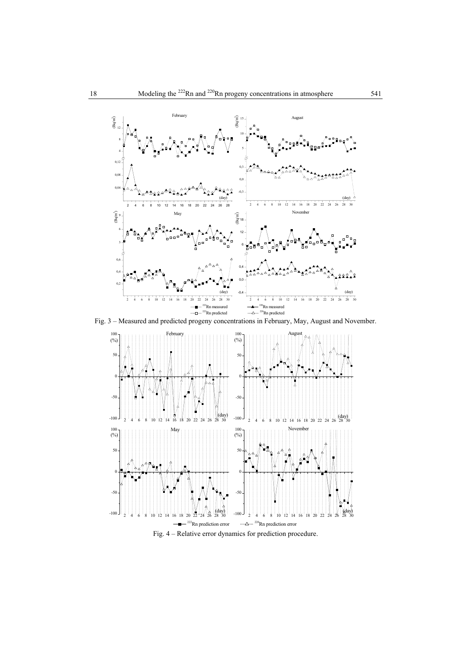

Fig. 3 – Measured and predicted progeny concentrations in February, May, August and November.



Fig. 4 – Relative error dynamics for prediction procedure.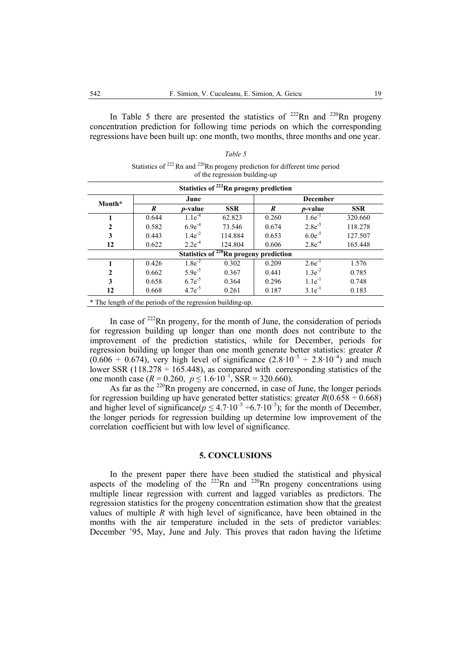In Table 5 there are presented the statistics of  $^{222}$ Rn and  $^{220}$ Rn progeny concentration prediction for following time periods on which the corresponding regressions have been built up: one month, two months, three months and one year.

| Statistics of $^{222}$ Rn and $^{220}$ Rn progeny prediction for different time period<br>of the regression building-up |                                                    |                 |                                                    |                  |                 |            |  |  |  |  |  |  |
|-------------------------------------------------------------------------------------------------------------------------|----------------------------------------------------|-----------------|----------------------------------------------------|------------------|-----------------|------------|--|--|--|--|--|--|
|                                                                                                                         | Statistics of <sup>222</sup> Rn progeny prediction |                 |                                                    |                  |                 |            |  |  |  |  |  |  |
| Month*                                                                                                                  |                                                    | June            |                                                    |                  | <b>December</b> |            |  |  |  |  |  |  |
|                                                                                                                         | R                                                  | <i>p</i> -value | <b>SSR</b>                                         | $\boldsymbol{R}$ | <i>p</i> -value | <b>SSR</b> |  |  |  |  |  |  |
|                                                                                                                         | 0.644                                              | $1.1e^{-4}$     | 62.823                                             | 0.260            | $1.6e^{-1}$     | 320.660    |  |  |  |  |  |  |
| $\mathbf{2}$                                                                                                            | 0.582                                              | $6.9e^{-4}$     | 73.546                                             | 0.674            | $2.8e^{-5}$     | 118.278    |  |  |  |  |  |  |
| 3                                                                                                                       | 0.443                                              | $1.4e^{-2}$     | 114.884                                            | 0.653            | $6.0e^{-5}$     | 127.507    |  |  |  |  |  |  |
| 12                                                                                                                      | 0.622                                              | $2.2e^{-4}$     | 124.804                                            | 0.606            | $2.8e^{-4}$     | 165.448    |  |  |  |  |  |  |
|                                                                                                                         |                                                    |                 | Statistics of <sup>220</sup> Rn progeny prediction |                  |                 |            |  |  |  |  |  |  |
|                                                                                                                         | 0.426                                              | $1.8e^{-2}$     | 0.302                                              | 0.209            | $2.6e^{-1}$     | 1.576      |  |  |  |  |  |  |
| $\mathbf{2}$                                                                                                            | 0.662                                              | $5.9e^{-5}$     | 0.367                                              | 0.441            | $1.3e^{-2}$     | 0.785      |  |  |  |  |  |  |
| 3                                                                                                                       | 0.658                                              | $6.7e^{-5}$     | 0.364                                              | 0.296            | $1.1e^{-1}$     | 0.748      |  |  |  |  |  |  |
| 12                                                                                                                      | 0.668                                              | $4.7e^{-5}$     | 0.261                                              | 0.187            | $3.1e^{-1}$     | 0.183      |  |  |  |  |  |  |

Statistics of  $^{222}$  Rn and  $^{220}$ Rn progeny prediction for different time period

*Table 5* 

\* The length of the periods of the regression building-up.

In case of  $^{222}$ Rn progeny, for the month of June, the consideration of periods for regression building up longer than one month does not contribute to the improvement of the prediction statistics, while for December, periods for regression building up longer than one month generate better statistics: greater *R*  $(0.606 \div 0.674)$ , very high level of significance  $(2.8 \cdot 10^{-5} \div 2.8 \cdot 10^{-4})$  and much lower SSR (118.278  $\div$  165.448), as compared with corresponding statistics of the one month case  $(R = 0.260, p \le 1.6 \cdot 10^{-1}, \text{SSR} = 320.660)$ .

As far as the  $220$ Rn progeny are concerned, in case of June, the longer periods for regression building up have generated better statistics: greater  $R(0.658 \div 0.668)$ and higher level of significance( $p \leq 4.7 \cdot 10^{-5} \div 6.7 \cdot 10^{-5}$ ); for the month of December, the longer periods for regression building up determine low improvement of the correlation coefficient but with low level of significance.

### **5. CONCLUSIONS**

In the present paper there have been studied the statistical and physical aspects of the modeling of the  $^{222}$ Rn and  $^{220}$ Rn progeny concentrations using multiple linear regression with current and lagged variables as predictors. The regression statistics for the progeny concentration estimation show that the greatest values of multiple *R* with high level of significance, have been obtained in the months with the air temperature included in the sets of predictor variables: December '95, May, June and July. This proves that radon having the lifetime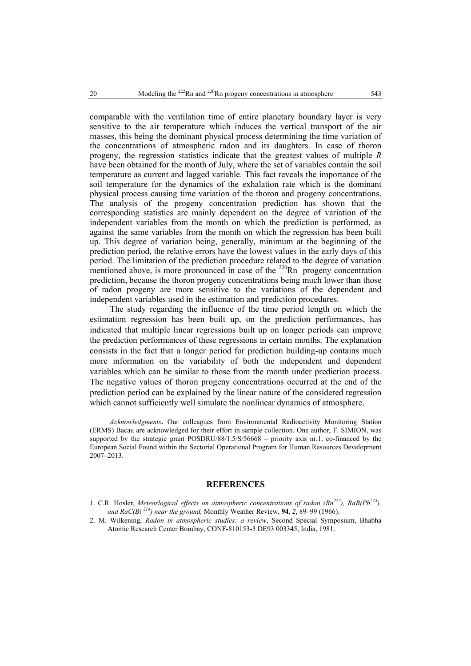comparable with the ventilation time of entire planetary boundary layer is very sensitive to the air temperature which induces the vertical transport of the air masses, this being the dominant physical process determining the time variation of the concentrations of atmospheric radon and its daughters. In case of thoron progeny, the regression statistics indicate that the greatest values of multiple *R* have been obtained for the month of July, where the set of variables contain the soil temperature as current and lagged variable. This fact reveals the importance of the soil temperature for the dynamics of the exhalation rate which is the dominant physical process causing time variation of the thoron and progeny concentrations. The analysis of the progeny concentration prediction has shown that the corresponding statistics are mainly dependent on the degree of variation of the independent variables from the month on which the prediction is performed, as against the same variables from the month on which the regression has been built up. This degree of variation being, generally, minimum at the beginning of the prediction period, the relative errors have the lowest values in the early days of this period. The limitation of the prediction procedure related to the degree of variation mentioned above, is more pronounced in case of the  $220$ Rn progeny concentration prediction, because the thoron progeny concentrations being much lower than those of radon progeny are more sensitive to the variations of the dependent and independent variables used in the estimation and prediction procedures.

The study regarding the influence of the time period length on which the estimation regression has been built up, on the prediction performances, has indicated that multiple linear regressions built up on longer periods can improve the prediction performances of these regressions in certain months. The explanation consists in the fact that a longer period for prediction building-up contains much more information on the variability of both the independent and dependent variables which can be similar to those from the month under prediction process. The negative values of thoron progeny concentrations occurred at the end of the prediction period can be explained by the linear nature of the considered regression which cannot sufficiently well simulate the nonlinear dynamics of atmosphere.

*Acknowledgments***.** Our colleagues from Environmental Radioactivity Monitoring Station (ERMS) Bacau are acknowledged for their effort in sample collection. One author, F. SIMION, was supported by the strategic grant POSDRU/88/1.5/S/56668 – priority axis nr.1, co-financed by the European Social Found within the Sectorial Operational Program for Human Resources Development 2007–2013.

#### **REFERENCES**

- 1. C.R. Hosler, *Meteorlogical effects on atmospheric concentrations of radon (Rn<sup>222</sup>), RaB(Pb<sup>214</sup>),* and  $RaC(Bi^{214})$  near the ground, Monthly Weather Review, **94**, 2, 89–99 (1966).
- 2. M. Wilkening, *Radon in atmospheric studies: a review*, Second Special Symposium, Bhabha Atomic Research Center Bombay, CONF-810153-3 DE93 003345, India, 1981.